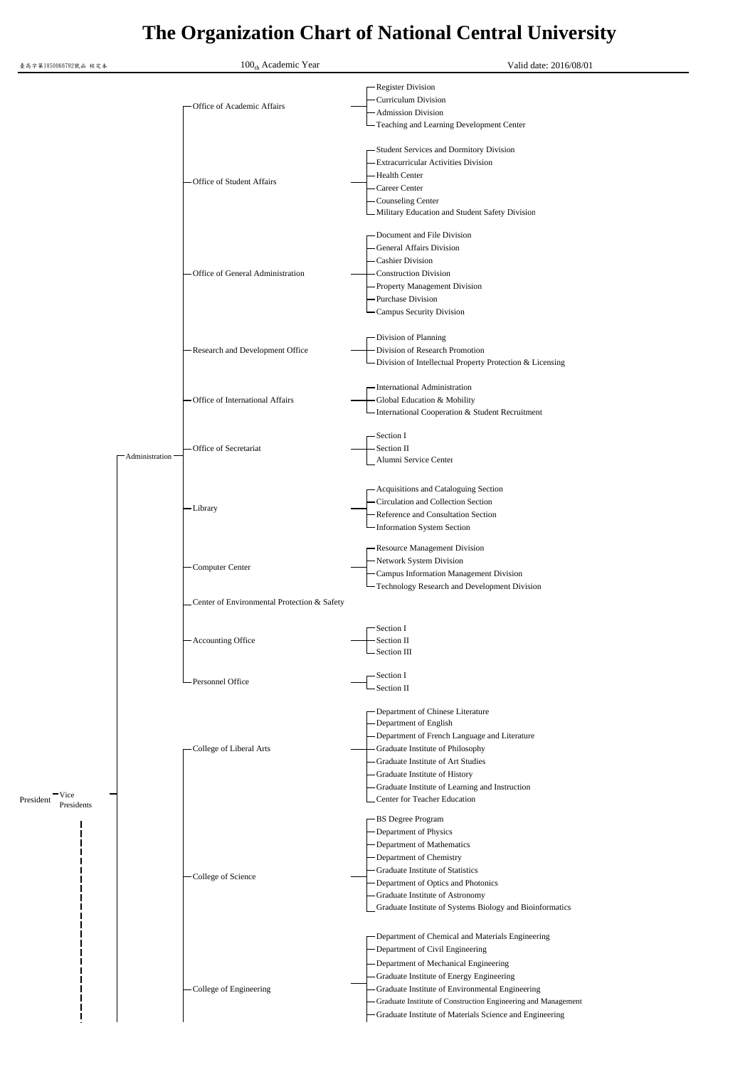## **The Organization Chart of National Central University**

| 臺高字第1050066792號函 核定本 | 100 <sub>th</sub> Academic Year             | Valid date: 2016/08/01                                                                                                                                                                                                                                                                                                                                  |
|----------------------|---------------------------------------------|---------------------------------------------------------------------------------------------------------------------------------------------------------------------------------------------------------------------------------------------------------------------------------------------------------------------------------------------------------|
|                      | Office of Academic Affairs                  | -Register Division<br><b>Curriculum Division</b><br>- Admission Division<br>Teaching and Learning Development Center                                                                                                                                                                                                                                    |
|                      | -Office of Student Affairs                  | -Student Services and Dormitory Division<br><b>Extracurricular Activities Division</b><br>-Health Center<br>Career Center<br>-Counseling Center<br>Military Education and Student Safety Division                                                                                                                                                       |
|                      | - Office of General Administration          | -Document and File Division<br>General Affairs Division<br><b>Cashier Division</b><br><b>Construction Division</b><br>Property Management Division<br>-Purchase Division<br><b>Campus Security Division</b>                                                                                                                                             |
|                      | - Research and Development Office           | -Division of Planning<br>Division of Research Promotion<br>- Division of Intellectual Property Protection & Licensing                                                                                                                                                                                                                                   |
|                      | - Office of International Affairs           | -International Administration<br>Global Education & Mobility<br>International Cooperation & Student Recruitment                                                                                                                                                                                                                                         |
|                      | Office of Secretariat<br>- Administration   | -Section I<br>Section II<br>Alumni Service Center                                                                                                                                                                                                                                                                                                       |
|                      | -Library                                    | - Acquisitions and Cataloguing Section<br>- Circulation and Collection Section<br>-Reference and Consultation Section<br>-Information System Section                                                                                                                                                                                                    |
|                      | -Computer Center                            | -Resource Management Division<br>-Network System Division<br>-Campus Information Management Division<br>-Technology Research and Development Division                                                                                                                                                                                                   |
|                      | Center of Environmental Protection & Safety |                                                                                                                                                                                                                                                                                                                                                         |
|                      | - Accounting Office                         | Section I<br>Section II<br>-Section III                                                                                                                                                                                                                                                                                                                 |
|                      | -Personnel Office                           | -Section I<br>Section II                                                                                                                                                                                                                                                                                                                                |
| Vice<br>President    | - College of Liberal Arts                   | - Department of Chinese Literature<br>Department of English<br>-Department of French Language and Literature<br>Graduate Institute of Philosophy<br>Graduate Institute of Art Studies<br>Graduate Institute of History<br>Graduate Institute of Learning and Instruction<br>Center for Teacher Education                                                |
| Presidents           | - College of Science                        | -BS Degree Program<br>-Department of Physics<br>Department of Mathematics<br>-Department of Chemistry<br>Graduate Institute of Statistics<br>Department of Optics and Photonics<br>Graduate Institute of Astronomy<br>Graduate Institute of Systems Biology and Bioinformatics                                                                          |
|                      | -College of Engineering                     | Department of Chemical and Materials Engineering<br>-Department of Civil Engineering<br>Department of Mechanical Engineering<br>Graduate Institute of Energy Engineering<br>Graduate Institute of Environmental Engineering<br>Graduate Institute of Construction Engineering and Management<br>Graduate Institute of Materials Science and Engineering |